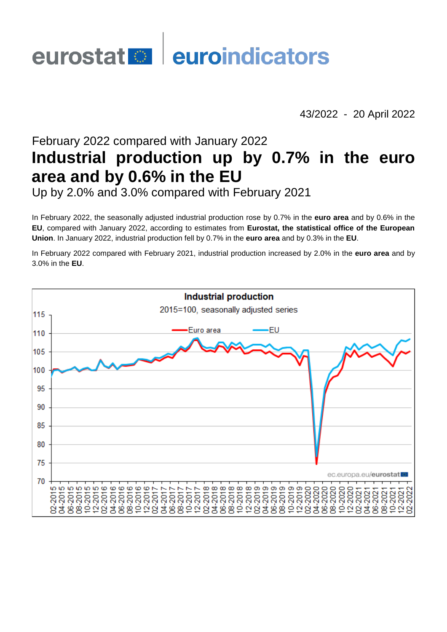# eurostat **en district** euroindicators

43/2022 - 20 April 2022

# February 2022 compared with January 2022 **Industrial production up by 0.7% in the euro area and by 0.6% in the EU**

Up by 2.0% and 3.0% compared with February 2021

In February 2022, the seasonally adjusted industrial production rose by 0.7% in the **euro area** and by 0.6% in the **EU**, compared with January 2022, according to estimates from **Eurostat, the statistical office of the European Union**. In January 2022, industrial production fell by 0.7% in the **euro area** and by 0.3% in the **EU**.

In February 2022 compared with February 2021, industrial production increased by 2.0% in the **euro area** and by 3.0% in the **EU**.

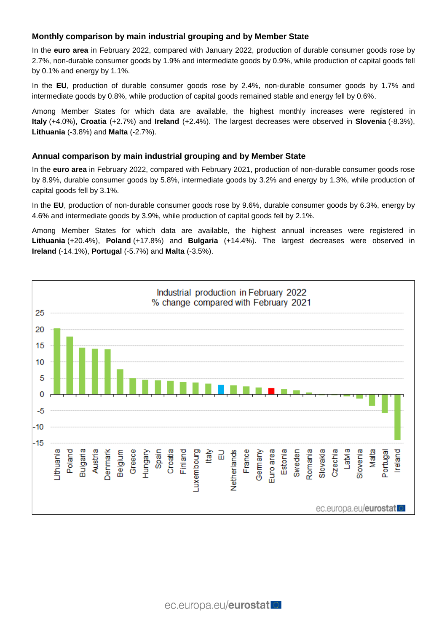# **Monthly comparison by main industrial grouping and by Member State**

In the **euro area** in February 2022, compared with January 2022, production of durable consumer goods rose by 2.7%, non-durable consumer goods by 1.9% and intermediate goods by 0.9%, while production of capital goods fell by 0.1% and energy by 1.1%.

In the **EU**, production of durable consumer goods rose by 2.4%, non-durable consumer goods by 1.7% and intermediate goods by 0.8%, while production of capital goods remained stable and energy fell by 0.6%.

Among Member States for which data are available, the highest monthly increases were registered in **Italy** (+4.0%), **Croatia** (+2.7%) and **Ireland** (+2.4%). The largest decreases were observed in **Slovenia** (-8.3%), **Lithuania** (-3.8%) and **Malta** (-2.7%).

## **Annual comparison by main industrial grouping and by Member State**

In the **euro area** in February 2022, compared with February 2021, production of non-durable consumer goods rose by 8.9%, durable consumer goods by 5.8%, intermediate goods by 3.2% and energy by 1.3%, while production of capital goods fell by 3.1%.

In the **EU**, production of non-durable consumer goods rose by 9.6%, durable consumer goods by 6.3%, energy by 4.6% and intermediate goods by 3.9%, while production of capital goods fell by 2.1%.

Among Member States for which data are available, the highest annual increases were registered in **Lithuania** (+20.4%), **Poland** (+17.8%) and **Bulgaria** (+14.4%). The largest decreases were observed in **Ireland** (-14.1%), **Portugal** (-5.7%) and **Malta** (-3.5%).

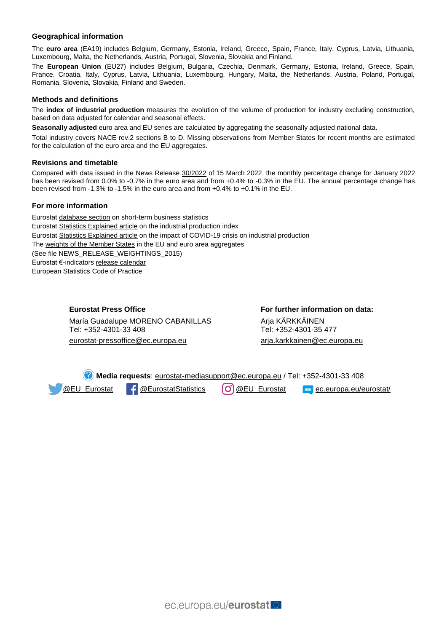#### **Geographical information**

The **euro area** (EA19) includes Belgium, Germany, Estonia, Ireland, Greece, Spain, France, Italy, Cyprus, Latvia, Lithuania, Luxembourg, Malta, the Netherlands, Austria, Portugal, Slovenia, Slovakia and Finland.

The **European Union** (EU27) includes Belgium, Bulgaria, Czechia, Denmark, Germany, Estonia, Ireland, Greece, Spain, France, Croatia, Italy, Cyprus, Latvia, Lithuania, Luxembourg, Hungary, Malta, the Netherlands, Austria, Poland, Portugal, Romania, Slovenia, Slovakia, Finland and Sweden.

#### **Methods and definitions**

The **index of industrial production** measures the evolution of the volume of production for industry excluding construction, based on data adjusted for calendar and seasonal effects.

**Seasonally adjusted** euro area and EU series are calculated by aggregating the seasonally adjusted national data.

Total industry covers [NACE rev.2](https://ec.europa.eu/eurostat/ramon/nomenclatures/index.cfm?TargetUrl=LST_NOM_DTL&StrNom=NACE_REV2&StrLanguageCode=EN&IntPcKey=&StrLayoutCode=HIERARCHIC) sections B to D. Missing observations from Member States for recent months are estimated for the calculation of the euro area and the EU aggregates.

#### **Revisions and timetable**

Compared with data issued in the News Release [30/2022](https://ec.europa.eu/eurostat/documents/2995521/14358236/4-15032022-AP-EN.pdf/b9d2b2a1-cb5a-1c83-e112-8384dcd641b3) of 15 March 2022, the monthly percentage change for January 2022 has been revised from 0.0% to -0.7% in the euro area and from +0.4% to -0.3% in the EU. The annual percentage change has been revised from -1.3% to -1.5% in the euro area and from +0.4% to +0.1% in the EU.

#### **For more information**

Eurosta[t database section](https://ec.europa.eu/eurostat/web/short-term-business-statistics/data/database) on short-term business statistics Eurosta[t Statistics Explained article](https://ec.europa.eu/eurostat/statistics-explained/index.php/Industrial_production_(volume)_index_overview) on the industrial production index Eurosta[t Statistics Explained article](https://ec.europa.eu/eurostat/statistics-explained/index.php?title=Impact_of_Covid-19_crisis_on_industrial_production) on the impact of COVID-19 crisis on industrial production Th[e weights of the Member States](https://circabc.europa.eu/w/browse/d72689ec-103e-41a8-81d1-2e5ea5f171f5) in the EU and euro area aggregates (See file NEWS\_RELEASE\_WEIGHTINGS\_2015) Eurostat €-indicator[s release calendar](https://ec.europa.eu/eurostat/news/release-calendar) European Statistic[s Code of Practice](https://ec.europa.eu/eurostat/web/products-catalogues/-/KS-02-18-142)

> **Eurostat Press Office** María Guadalupe MORENO CABANILLAS Tel: +352-4301-33 408 eurostat-pressoffice@ec.europa.eu

**For further information on data:** Arja KÄRKKÄINEN Tel: +352-4301-35 477 [arja.karkkainen@ec.europa.eu](mailto:arja.karkkainen@ec.europa.eu)

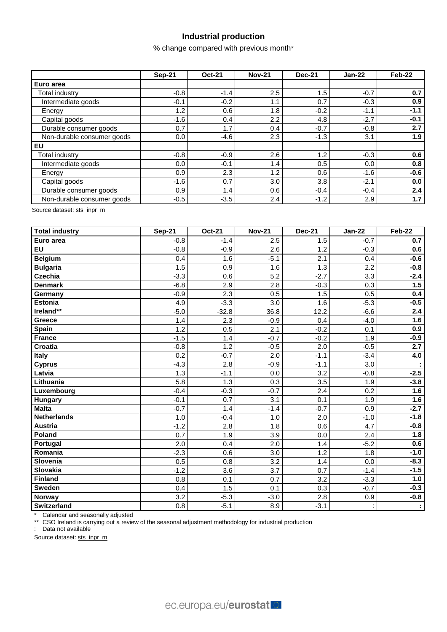# **Industrial production**

% change compared with previous month\*

|                            | <b>Sep-21</b> | <b>Oct-21</b> | <b>Nov-21</b> | <b>Dec-21</b> | $Jan-22$ | Feb-22 |
|----------------------------|---------------|---------------|---------------|---------------|----------|--------|
| Euro area                  |               |               |               |               |          |        |
| Total industry             | $-0.8$        | $-1.4$        | 2.5           | 1.5           | $-0.7$   | 0.7    |
| Intermediate goods         | $-0.1$        | $-0.2$        | 1.1           | 0.7           | $-0.3$   | 0.9    |
| Energy                     | 1.2           | 0.6           | 1.8           | $-0.2$        | -1.1     | $-1.1$ |
| Capital goods              | $-1.6$        | 0.4           | 2.2           | 4.8           | $-2.7$   | $-0.1$ |
| Durable consumer goods     | 0.7           | 1.7           | 0.4           | $-0.7$        | $-0.8$   | 2.7    |
| Non-durable consumer goods | 0.0           | $-4.6$        | 2.3           | $-1.3$        | 3.1      | 1.9    |
| l EU                       |               |               |               |               |          |        |
| Total industrv             | $-0.8$        | $-0.9$        | 2.6           | 1.2           | $-0.3$   | 0.6    |
| Intermediate goods         | 0.0           | $-0.1$        | 1.4           | 0.5           | 0.0      | 0.8    |
| Energy                     | 0.9           | 2.3           | 1.2           | 0.6           | $-1.6$   | $-0.6$ |
| Capital goods              | $-1.6$        | 0.7           | 3.0           | 3.8           | $-2.1$   | 0.0    |
| Durable consumer goods     | 0.9           | 1.4           | 0.6           | $-0.4$        | $-0.4$   | 2.4    |
| Non-durable consumer goods | $-0.5$        | $-3.5$        | 2.4           | $-1.2$        | 2.9      | 1.7    |

Source dataset: [sts\\_inpr\\_m](https://appsso.eurostat.ec.europa.eu/nui/show.do?query=BOOKMARK_DS-069583_QID_-60137611_UID_-3F171EB0&layout=TIME,C,X,0;GEO,L,Y,0;NACE_R2,L,Y,1;INDIC_BT,L,Z,0;S_ADJ,L,Z,1;UNIT,L,Z,2;INDICATORS,C,Z,3;&zSelection=DS-069583UNIT,PCH_PRE;DS-069583S_ADJ,SCA;DS-069583INDICATORS,OBS_FLAG;DS-069583INDIC_BT,PROD;&rankName1=UNIT_1_2_-1_2&rankName2=INDIC-BT_1_2_-1_2&rankName3=INDICATORS_1_2_-1_2&rankName4=S-ADJ_1_2_-1_2&rankName5=TIME_1_0_0_0&rankName6=GEO_1_0_0_1&rankName7=NACE-R2_1_2_1_1&sortR=ASC_-1_FIRST&sortC=ASC_-1_FIRST&rStp=&cStp=&rDCh=&cDCh=&rDM=true&cDM=true&footnes=false&empty=false&wai=false&time_mode=ROLLING&time_most_recent=true&lang=EN&cfo=%23%23%23%2C%23%23%23.%23%23%23)

| <b>Total industry</b> | <b>Sep-21</b> | <b>Oct-21</b> | <b>Nov-21</b> | <b>Dec-21</b> | <b>Jan-22</b> | <b>Feb-22</b> |
|-----------------------|---------------|---------------|---------------|---------------|---------------|---------------|
| Euro area             | $-0.8$        | $-1.4$        | 2.5           | 1.5           | $-0.7$        | 0.7           |
| <b>EU</b>             | $-0.8$        | $-0.9$        | 2.6           | 1.2           | $-0.3$        | 0.6           |
| <b>Belgium</b>        | 0.4           | 1.6           | $-5.1$        | 2.1           | 0.4           | $-0.6$        |
| <b>Bulgaria</b>       | 1.5           | 0.9           | 1.6           | 1.3           | 2.2           | $-0.8$        |
| <b>Czechia</b>        | $-3.3$        | 0.6           | 5.2           | $-2.7$        | 3.3           | $-2.4$        |
| <b>Denmark</b>        | $-6.8$        | 2.9           | 2.8           | $-0.3$        | 0.3           | 1.5           |
| Germany               | $-0.9$        | 2.3           | 0.5           | 1.5           | 0.5           | 0.4           |
| <b>Estonia</b>        | 4.9           | $-3.3$        | 3.0           | 1.6           | $-5.3$        | $-0.5$        |
| Ireland**             | $-5.0$        | $-32.8$       | 36.8          | 12.2          | $-6.6$        | 2.4           |
| <b>Greece</b>         | 1.4           | 2.3           | $-0.9$        | 0.4           | $-4.0$        | 1.6           |
| Spain                 | 1.2           | 0.5           | 2.1           | $-0.2$        | 0.1           | 0.9           |
| <b>France</b>         | $-1.5$        | 1.4           | $-0.7$        | $-0.2$        | 1.9           | $-0.9$        |
| <b>Croatia</b>        | $-0.8$        | 1.2           | $-0.5$        | 2.0           | $-0.5$        | 2.7           |
| <b>Italy</b>          | 0.2           | $-0.7$        | 2.0           | $-1.1$        | $-3.4$        | 4.0           |
| <b>Cyprus</b>         | $-4.3$        | 2.8           | $-0.9$        | $-1.1$        | 3.0           |               |
| Latvia                | 1.3           | $-1.1$        | 0.0           | 3.2           | $-0.8$        | $-2.5$        |
| Lithuania             | 5.8           | 1.3           | 0.3           | 3.5           | 1.9           | $-3.8$        |
| Luxembourg            | $-0.4$        | $-0.3$        | $-0.7$        | 2.4           | 0.2           | 1.6           |
| <b>Hungary</b>        | $-0.1$        | 0.7           | 3.1           | 0.1           | 1.9           | 1.6           |
| <b>Malta</b>          | $-0.7$        | 1.4           | $-1.4$        | $-0.7$        | 0.9           | $-2.7$        |
| <b>Netherlands</b>    | 1.0           | $-0.4$        | 1.0           | 2.0           | $-1.0$        | $-1.8$        |
| <b>Austria</b>        | $-1.2$        | 2.8           | 1.8           | 0.6           | 4.7           | $-0.8$        |
| Poland                | 0.7           | 1.9           | 3.9           | 0.0           | 2.4           | 1.8           |
| Portugal              | 2.0           | 0.4           | 2.0           | 1.4           | $-5.2$        | 0.6           |
| Romania               | $-2.3$        | 0.6           | 3.0           | 1.2           | 1.8           | $-1.0$        |
| Slovenia              | 0.5           | 0.8           | 3.2           | 1.4           | 0.0           | $-8.3$        |
| Slovakia              | $-1.2$        | 3.6           | 3.7           | 0.7           | $-1.4$        | $-1.5$        |
| <b>Finland</b>        | 0.8           | 0.1           | 0.7           | 3.2           | $-3.3$        | 1.0           |
| Sweden                | 0.4           | 1.5           | 0.1           | 0.3           | $-0.7$        | $-0.3$        |
| Norway                | 3.2           | $-5.3$        | $-3.0$        | 2.8           | 0.9           | $-0.8$        |
| <b>Switzerland</b>    | 0.8           | $-5.1$        | 8.9           | $-3.1$        |               |               |

\* Calendar and seasonally adjusted

\*\* CSO Ireland is carrying out a review of the seasonal adjustment methodology for industrial production

: Data not available

Source dataset[: sts\\_inpr\\_m](https://ec.europa.eu/eurostat/databrowser/view/STS_INPR_M__custom_157710/bookmark/table?lang=en&bookmarkId=daad3781-0988-4ae4-8ec3-52334a659e0c)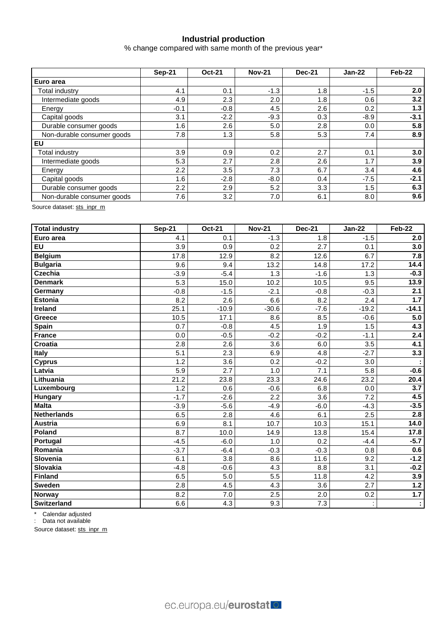# **Industrial production**

% change compared with same month of the previous year\*

|                            | <b>Sep-21</b> | <b>Oct-21</b> | <b>Nov-21</b> | <b>Dec-21</b> | $Jan-22$ | Feb-22 |  |
|----------------------------|---------------|---------------|---------------|---------------|----------|--------|--|
| Euro area                  |               |               |               |               |          |        |  |
| Total industrv             | 4.1           | 0.1           | $-1.3$        | 1.8           | $-1.5$   | 2.0    |  |
| Intermediate goods         | 4.9           | 2.3           | 2.0           | 1.8           | 0.6      | 3.2    |  |
| Energy                     | $-0.1$        | $-0.8$        | 4.5           | 2.6           | 0.2      | 1.3    |  |
| Capital goods              | 3.1           | $-2.2$        | $-9.3$        | 0.3           | $-8.9$   | $-3.1$ |  |
| Durable consumer goods     | 1.6           | 2.6           | 5.0           | 2.8           | 0.0      | 5.8    |  |
| Non-durable consumer goods | 7.8           | 1.3           | 5.8           | 5.3           | 7.4      | 8.9    |  |
| EU                         |               |               |               |               |          |        |  |
| Total industrv             | 3.9           | 0.9           | 0.2           | 2.7           | 0.1      | 3.0    |  |
| Intermediate goods         | 5.3           | 2.7           | 2.8           | 2.6           | 1.7      | 3.9    |  |
| Energy                     | 2.2           | 3.5           | 7.3           | 6.7           | 3.4      | 4.6    |  |
| Capital goods              | 1.6           | $-2.8$        | $-8.0$        | 0.4           | $-7.5$   | $-2.1$ |  |
| Durable consumer goods     | 2.2           | 2.9           | 5.2           | 3.3           | 1.5      | 6.3    |  |
| Non-durable consumer goods | 7.6           | 3.2           | 7.0           | 6.1           | 8.0      | 9.6    |  |

Source dataset: [sts\\_inpr\\_m](https://appsso.eurostat.ec.europa.eu/nui/show.do?query=BOOKMARK_DS-069583_QID_-132704C_UID_-3F171EB0&layout=TIME,C,X,0;GEO,L,Y,0;NACE_R2,L,Y,1;INDIC_BT,L,Z,0;S_ADJ,L,Z,1;UNIT,L,Z,2;INDICATORS,C,Z,3;&zSelection=DS-069583UNIT,PCH_PRE;DS-069583S_ADJ,SCA;DS-069583INDICATORS,OBS_FLAG;DS-069583INDIC_BT,PROD;&rankName1=UNIT_1_2_-1_2&rankName2=INDIC-BT_1_2_-1_2&rankName3=INDICATORS_1_2_-1_2&rankName4=S-ADJ_1_2_-1_2&rankName5=TIME_1_0_0_0&rankName6=GEO_1_0_0_1&rankName7=NACE-R2_1_2_1_1&sortR=ASC_-1_FIRST&sortC=ASC_-1_FIRST&rStp=&cStp=&rDCh=&cDCh=&rDM=true&cDM=true&footnes=false&empty=false&wai=false&time_mode=ROLLING&time_most_recent=true&lang=EN&cfo=%23%23%23%2C%23%23%23.%23%23%23)

| <b>Total industry</b> | <b>Sep-21</b> | <b>Oct-21</b>    | <b>Nov-21</b> | <b>Dec-21</b> | <b>Jan-22</b> | Feb-22           |
|-----------------------|---------------|------------------|---------------|---------------|---------------|------------------|
| Euro area             | 4.1           | 0.1              | $-1.3$        | 1.8           | $-1.5$        | 2.0              |
| <b>EU</b>             | 3.9           | 0.9              | 0.2           | 2.7           | 0.1           | 3.0              |
| <b>Belgium</b>        | 17.8          | 12.9             | 8.2           | 12.6          | 6.7           | 7.8              |
| <b>Bulgaria</b>       | 9.6           | 9.4              | 13.2          | 14.8          | 17.2          | 14.4             |
| <b>Czechia</b>        | $-3.9$        | $-5.4$           | 1.3           | $-1.6$        | 1.3           | $-0.3$           |
| <b>Denmark</b>        | 5.3           | 15.0             | 10.2          | 10.5          | 9.5           | 13.9             |
| Germany               | $-0.8$        | $-1.5$           | $-2.1$        | $-0.8$        | $-0.3$        | 2.1              |
| <b>Estonia</b>        | 8.2           | 2.6              | 6.6           | 8.2           | 2.4           | 1.7              |
| Ireland               | 25.1          | $-10.9$          | $-30.6$       | $-7.6$        | $-19.2$       | $-14.1$          |
| <b>Greece</b>         | 10.5          | 17.1             | 8.6           | 8.5           | $-0.6$        | 5.0              |
| <b>Spain</b>          | 0.7           | $-0.8$           | 4.5           | 1.9           | 1.5           | 4.3              |
| <b>France</b>         | 0.0           | $-0.5$           | $-0.2$        | $-0.2$        | $-1.1$        | $\overline{2.4}$ |
| <b>Croatia</b>        | 2.8           | 2.6              | 3.6           | 6.0           | 3.5           | 4.1              |
| Italy                 | 5.1           | 2.3              | 6.9           | 4.8           | $-2.7$        | 3.3              |
| <b>Cyprus</b>         | 1.2           | 3.6              | 0.2           | $-0.2$        | 3.0           |                  |
| Latvia                | 5.9           | $\overline{2.7}$ | 1.0           | 7.1           | 5.8           | $-0.6$           |
| Lithuania             | 21.2          | 23.8             | 23.3          | 24.6          | 23.2          | 20.4             |
| Luxembourg            | 1.2           | 0.6              | $-0.6$        | 6.8           | 0.0           | $\overline{3.7}$ |
| <b>Hungary</b>        | $-1.7$        | $-2.6$           | 2.2           | 3.6           | 7.2           | 4.5              |
| <b>Malta</b>          | $-3.9$        | $-5.6$           | $-4.9$        | $-6.0$        | $-4.3$        | $-3.5$           |
| <b>Netherlands</b>    | 6.5           | 2.8              | 4.6           | 6.1           | 2.5           | 2.8              |
| <b>Austria</b>        | 6.9           | 8.1              | 10.7          | 10.3          | 15.1          | 14.0             |
| Poland                | 8.7           | 10.0             | 14.9          | 13.8          | 15.4          | 17.8             |
| Portugal              | $-4.5$        | $-6.0$           | 1.0           | 0.2           | $-4.4$        | $-5.7$           |
| Romania               | $-3.7$        | $-6.4$           | $-0.3$        | $-0.3$        | 0.8           | 0.6              |
| Slovenia              | 6.1           | 3.8              | 8.6           | 11.6          | 9.2           | $-1.2$           |
| <b>Slovakia</b>       | $-4.8$        | $-0.6$           | 4.3           | 8.8           | 3.1           | $-0.2$           |
| Finland               | 6.5           | 5.0              | 5.5           | 11.8          | 4.2           | 3.9              |
| <b>Sweden</b>         | 2.8           | 4.5              | 4.3           | 3.6           | 2.7           | $1.2$            |
| <b>Norway</b>         | 8.2           | 7.0              | 2.5           | 2.0           | 0.2           | 1.7              |
| Switzerland           | 6.6           | 4.3              | 9.3           | 7.3           |               | ÷.               |

\* Calendar adjusted

: Data not available

Source dataset[: sts\\_inpr\\_m](https://ec.europa.eu/eurostat/databrowser/view/STS_INPR_M__custom_157760/bookmark/table?lang=en&bookmarkId=da24ee79-7a94-48da-a155-c6c0e0b06dfa)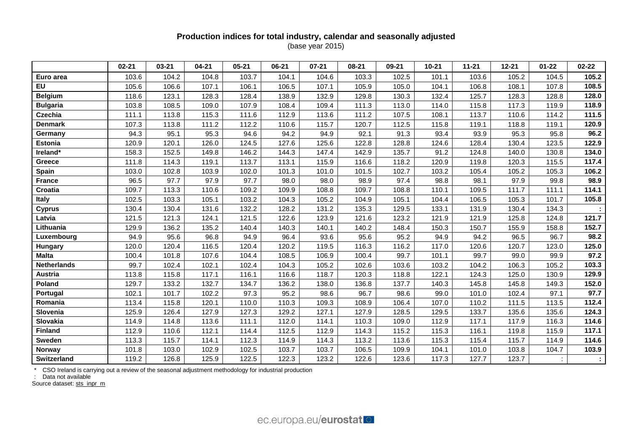# **Production indices for total industry, calendar and seasonally adjusted** (base year 2015)

|                    | $02 - 21$ | $03 - 21$ | $04 - 21$ | $05 - 21$ | 06-21 | $07 - 21$ | 08-21 | 09-21 | $10 - 21$ | $11 - 21$ | $12 - 21$ | $01 - 22$ | $02 - 22$ |
|--------------------|-----------|-----------|-----------|-----------|-------|-----------|-------|-------|-----------|-----------|-----------|-----------|-----------|
| Euro area          | 103.6     | 104.2     | 104.8     | 103.7     | 104.1 | 104.6     | 103.3 | 102.5 | 101.1     | 103.6     | 105.2     | 104.5     | 105.2     |
| EU                 | 105.6     | 106.6     | 107.1     | 106.1     | 106.5 | 107.1     | 105.9 | 105.0 | 104.1     | 106.8     | 108.1     | 107.8     | 108.5     |
| <b>Belgium</b>     | 118.6     | 123.1     | 128.3     | 128.4     | 138.9 | 132.9     | 129.8 | 130.3 | 132.4     | 125.7     | 128.3     | 128.8     | 128.0     |
| <b>Bulgaria</b>    | 103.8     | 108.5     | 109.0     | 107.9     | 108.4 | 109.4     | 111.3 | 113.0 | 114.0     | 115.8     | 117.3     | 119.9     | 118.9     |
| <b>Czechia</b>     | 111.1     | 113.8     | 115.3     | 111.6     | 112.9 | 113.6     | 111.2 | 107.5 | 108.1     | 113.7     | 110.6     | 114.2     | 111.5     |
| <b>Denmark</b>     | 107.3     | 113.8     | 111.2     | 112.2     | 110.6 | 115.7     | 120.7 | 112.5 | 115.8     | 119.1     | 118.8     | 119.1     | 120.9     |
| Germany            | 94.3      | 95.1      | 95.3      | 94.6      | 94.2  | 94.9      | 92.1  | 91.3  | 93.4      | 93.9      | 95.3      | 95.8      | 96.2      |
| <b>Estonia</b>     | 120.9     | 120.1     | 126.0     | 124.5     | 127.6 | 125.6     | 122.8 | 128.8 | 124.6     | 128.4     | 130.4     | 123.5     | 122.9     |
| Ireland*           | 158.3     | 152.5     | 149.8     | 146.2     | 144.3 | 147.4     | 142.9 | 135.7 | 91.2      | 124.8     | 140.0     | 130.8     | 134.0     |
| <b>Greece</b>      | 111.8     | 114.3     | 119.1     | 113.7     | 113.1 | 115.9     | 116.6 | 118.2 | 120.9     | 119.8     | 120.3     | 115.5     | 117.4     |
| Spain              | 103.0     | 102.8     | 103.9     | 102.0     | 101.3 | 101.0     | 101.5 | 102.7 | 103.2     | 105.4     | 105.2     | 105.3     | 106.2     |
| <b>France</b>      | 96.5      | 97.7      | 97.9      | 97.7      | 98.0  | 98.0      | 98.9  | 97.4  | 98.8      | 98.1      | 97.9      | 99.8      | 98.9      |
| Croatia            | 109.7     | 113.3     | 110.6     | 109.2     | 109.9 | 108.8     | 109.7 | 108.8 | 110.1     | 109.5     | 111.7     | 111.1     | 114.1     |
| Italy              | 102.5     | 103.3     | 105.1     | 103.2     | 104.3 | 105.2     | 104.9 | 105.1 | 104.4     | 106.5     | 105.3     | 101.7     | 105.8     |
| <b>Cyprus</b>      | 130.4     | 130.4     | 131.6     | 132.2     | 128.2 | 131.2     | 135.3 | 129.5 | 133.1     | 131.9     | 130.4     | 134.3     |           |
| Latvia             | 121.5     | 121.3     | 124.1     | 121.5     | 122.6 | 123.9     | 121.6 | 123.2 | 121.9     | 121.9     | 125.8     | 124.8     | 121.7     |
| Lithuania          | 129.9     | 136.2     | 135.2     | 140.4     | 140.3 | 140.1     | 140.2 | 148.4 | 150.3     | 150.7     | 155.9     | 158.8     | 152.7     |
| Luxembourg         | 94.9      | 95.6      | 96.8      | 94.9      | 96.4  | 93.6      | 95.6  | 95.2  | 94.9      | 94.2      | 96.5      | 96.7      | 98.2      |
| Hungary            | 120.0     | 120.4     | 116.5     | 120.4     | 120.2 | 119.5     | 116.3 | 116.2 | 117.0     | 120.6     | 120.7     | 123.0     | 125.0     |
| <b>Malta</b>       | 100.4     | 101.8     | 107.6     | 104.4     | 108.5 | 106.9     | 100.4 | 99.7  | 101.1     | 99.7      | 99.0      | 99.9      | 97.2      |
| <b>Netherlands</b> | 99.7      | 102.4     | 102.1     | 102.4     | 104.3 | 105.2     | 102.6 | 103.6 | 103.2     | 104.2     | 106.3     | 105.2     | 103.3     |
| <b>Austria</b>     | 113.8     | 115.8     | 117.1     | 116.1     | 116.6 | 118.7     | 120.3 | 118.8 | 122.1     | 124.3     | 125.0     | 130.9     | 129.9     |
| Poland             | 129.7     | 133.2     | 132.7     | 134.7     | 136.2 | 138.0     | 136.8 | 137.7 | 140.3     | 145.8     | 145.8     | 149.3     | 152.0     |
| Portugal           | 102.1     | 101.7     | 102.2     | 97.3      | 95.2  | 98.6      | 96.7  | 98.6  | 99.0      | 101.0     | 102.4     | 97.1      | 97.7      |
| Romania            | 113.4     | 115.8     | 120.1     | 110.0     | 110.3 | 109.3     | 108.9 | 106.4 | 107.0     | 110.2     | 111.5     | 113.5     | 112.4     |
| Slovenia           | 125.9     | 126.4     | 127.9     | 127.3     | 129.2 | 127.1     | 127.9 | 128.5 | 129.5     | 133.7     | 135.6     | 135.6     | 124.3     |
| Slovakia           | 114.9     | 114.8     | 113.6     | 111.1     | 112.0 | 114.1     | 110.3 | 109.0 | 112.9     | 117.1     | 117.9     | 116.3     | 114.6     |
| <b>Finland</b>     | 112.9     | 110.6     | 112.1     | 114.4     | 112.5 | 112.9     | 114.3 | 115.2 | 115.3     | 116.1     | 119.8     | 115.9     | 117.1     |
| <b>Sweden</b>      | 113.3     | 115.7     | 114.1     | 112.3     | 114.9 | 114.3     | 113.2 | 113.6 | 115.3     | 115.4     | 115.7     | 114.9     | 114.6     |
| <b>Norway</b>      | 101.8     | 103.0     | 102.9     | 102.5     | 103.7 | 103.7     | 106.5 | 109.9 | 104.1     | 101.0     | 103.8     | 104.7     | 103.9     |
| <b>Switzerland</b> | 119.2     | 126.8     | 125.9     | 122.5     | 122.3 | 123.2     | 122.6 | 123.6 | 117.3     | 127.7     | 123.7     |           | ÷.        |

\* CSO Ireland is carrying out a review of the seasonal adjustment methodology for industrial production

: Data not available

Source dataset: [sts\\_inpr\\_m](https://ec.europa.eu/eurostat/databrowser/view/STS_INPR_M__custom_157783/bookmark/table?lang=en&bookmarkId=aaa35620-bc24-4bdd-99af-6d42250032b6)